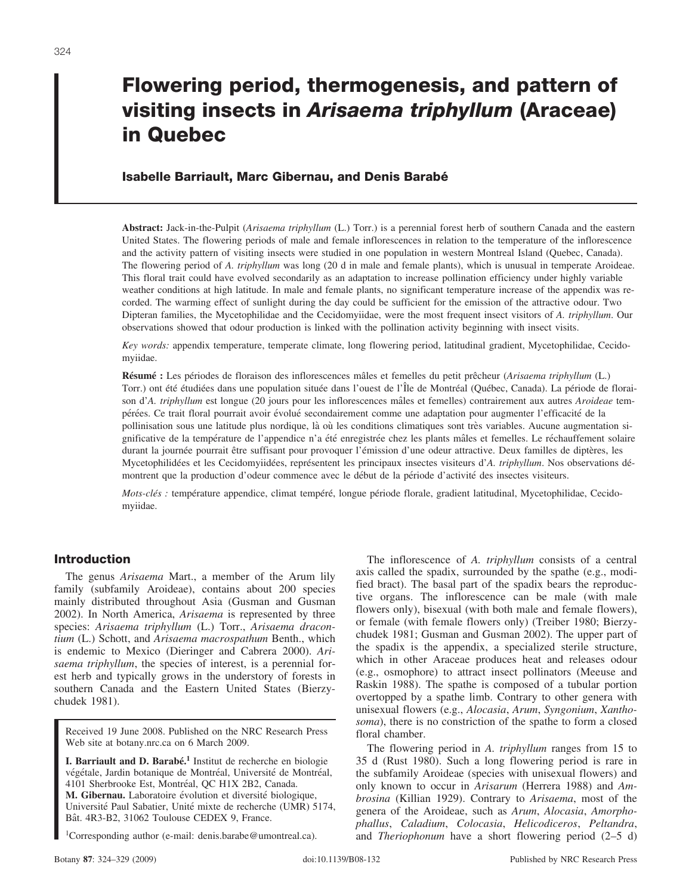# **Flowering period, thermogenesis, and pattern of visiting insects in** *Arisaema triphyllum* **(Araceae) in Quebec**

# **Isabelle Barriault, Marc Gibernau, and Denis Barabe´**

**Abstract:** Jack-in-the-Pulpit (*Arisaema triphyllum* (L.) Torr.) is a perennial forest herb of southern Canada and the eastern United States. The flowering periods of male and female inflorescences in relation to the temperature of the inflorescence and the activity pattern of visiting insects were studied in one population in western Montreal Island (Quebec, Canada). The flowering period of *A. triphyllum* was long (20 d in male and female plants), which is unusual in temperate Aroideae. This floral trait could have evolved secondarily as an adaptation to increase pollination efficiency under highly variable weather conditions at high latitude. In male and female plants, no significant temperature increase of the appendix was recorded. The warming effect of sunlight during the day could be sufficient for the emission of the attractive odour. Two Dipteran families, the Mycetophilidae and the Cecidomyiidae, were the most frequent insect visitors of *A. triphyllum*. Our observations showed that odour production is linked with the pollination activity beginning with insect visits.

*Key words:* appendix temperature, temperate climate, long flowering period, latitudinal gradient, Mycetophilidae, Cecidomyiidae.

**Résumé** : Les périodes de floraison des inflorescences mâles et femelles du petit prêcheur (*Arisaema triphyllum* (L.) Torr.) ont été étudiées dans une population située dans l'ouest de l'Île de Montréal (Québec, Canada). La période de floraison d'A. triphyllum est longue (20 jours pour les inflorescences mâles et femelles) contrairement aux autres *Aroideae* tempérées. Ce trait floral pourrait avoir évolué secondairement comme une adaptation pour augmenter l'efficacité de la pollinisation sous une latitude plus nordique, là où les conditions climatiques sont très variables. Aucune augmentation significative de la température de l'appendice n'a été enregistrée chez les plants mâles et femelles. Le réchauffement solaire durant la journée pourrait être suffisant pour provoquer l'émission d'une odeur attractive. Deux familles de diptères, les Mycetophilidées et les Cecidomyiidées, représentent les principaux insectes visiteurs d'A. *triphyllum*. Nos observations démontrent que la production d'odeur commence avec le début de la période d'activité des insectes visiteurs.

*Mots-clés :* température appendice, climat tempéré, longue période florale, gradient latitudinal, Mycetophilidae, Cecidomyiidae.

# **Introduction**

The genus *Arisaema* Mart., a member of the Arum lily family (subfamily Aroideae), contains about 200 species mainly distributed throughout Asia (Gusman and Gusman 2002). In North America, *Arisaema* is represented by three species: *Arisaema triphyllum* (L.) Torr., *Arisaema dracontium* (L.) Schott, and *Arisaema macrospathum* Benth., which is endemic to Mexico (Dieringer and Cabrera 2000). *Arisaema triphyllum*, the species of interest, is a perennial forest herb and typically grows in the understory of forests in southern Canada and the Eastern United States (Bierzychudek 1981).

Received 19 June 2008. Published on the NRC Research Press Web site at botany.nrc.ca on 6 March 2009.

**I. Barriault and D. Barabé.**<sup>1</sup> Institut de recherche en biologie végétale, Jardin botanique de Montréal, Université de Montréal, 4101 Sherbrooke Est, Montréal, QC H1X 2B2, Canada. **M. Gibernau.** Laboratoire évolution et diversité biologique, Université Paul Sabatier, Unité mixte de recherche (UMR) 5174, Bât. 4R3-B2, 31062 Toulouse CEDEX 9, France.

1Corresponding author (e-mail: denis.barabe@umontreal.ca).

The inflorescence of *A. triphyllum* consists of a central axis called the spadix, surrounded by the spathe (e.g., modified bract). The basal part of the spadix bears the reproductive organs. The inflorescence can be male (with male flowers only), bisexual (with both male and female flowers), or female (with female flowers only) (Treiber 1980; Bierzychudek 1981; Gusman and Gusman 2002). The upper part of the spadix is the appendix, a specialized sterile structure, which in other Araceae produces heat and releases odour (e.g., osmophore) to attract insect pollinators (Meeuse and Raskin 1988). The spathe is composed of a tubular portion overtopped by a spathe limb. Contrary to other genera with unisexual flowers (e.g., *Alocasia*, *Arum*, *Syngonium*, *Xanthosoma*), there is no constriction of the spathe to form a closed floral chamber.

The flowering period in *A. triphyllum* ranges from 15 to 35 d (Rust 1980). Such a long flowering period is rare in the subfamily Aroideae (species with unisexual flowers) and only known to occur in *Arisarum* (Herrera 1988) and *Ambrosina* (Killian 1929). Contrary to *Arisaema*, most of the genera of the Aroideae, such as *Arum*, *Alocasia*, *Amorphophallus*, *Caladium*, *Colocasia*, *Helicodiceros*, *Peltandra*, and *Theriophonum* have a short flowering period (2–5 d)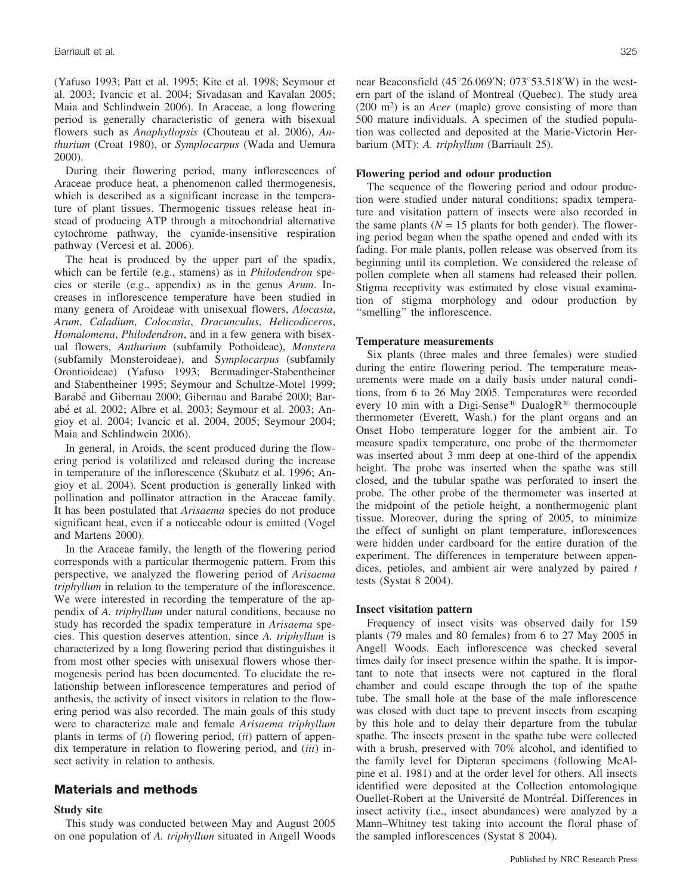(Yafuso 1993; Patt et al. 1995; Kite et al. 1998; Seymour et al. 2003; Ivancic et al. 2004; Sivadasan and Kavalan 2005; Maia and Schlindwein 2006). In Araceae, a long flowering period is generally characteristic of genera with bisexual flowers such as *Anaphyllopsis* (Chouteau et al. 2006), *Anthurium* (Croat 1980), or *Symplocarpus* (Wada and Uemura 2000).

During their flowering period, many inflorescences of Araceae produce heat, a phenomenon called thermogenesis, which is described as a significant increase in the temperature of plant tissues. Thermogenic tissues release heat instead of producing ATP through a mitochondrial alternative cytochrome pathway, the cyanide-insensitive respiration pathway (Vercesi et al. 2006).

The heat is produced by the upper part of the spadix, which can be fertile (e.g., stamens) as in *Philodendron* species or sterile (e.g., appendix) as in the genus *Arum*. Increases in inflorescence temperature have been studied in many genera of Aroideae with unisexual flowers, *Alocasia*, *Arum*, *Caladium*, *Colocasia*, *Dracunculus*, *Helicodiceros*, *Homalomena*, *Philodendron*, and in a few genera with bisexual flowers, *Anthurium* (subfamily Pothoideae), *Monstera* (subfamily Monsteroideae), and S*ymplocarpus* (subfamily Orontioideae) (Yafuso 1993; Bermadinger-Stabentheiner and Stabentheiner 1995; Seymour and Schultze-Motel 1999; Barabé and Gibernau 2000; Gibernau and Barabé 2000; Barabé et al. 2002; Albre et al. 2003; Seymour et al. 2003; Angioy et al. 2004; Ivancic et al. 2004, 2005; Seymour 2004; Maia and Schlindwein 2006).

In general, in Aroids, the scent produced during the flowering period is volatilized and released during the increase in temperature of the inflorescence (Skubatz et al. 1996; Angioy et al. 2004). Scent production is generally linked with pollination and pollinator attraction in the Araceae family. It has been postulated that *Arisaema* species do not produce significant heat, even if a noticeable odour is emitted (Vogel and Martens 2000).

In the Araceae family, the length of the flowering period corresponds with a particular thermogenic pattern. From this perspective, we analyzed the flowering period of *Arisaema triphyllum* in relation to the temperature of the inflorescence. We were interested in recording the temperature of the appendix of *A. triphyllum* under natural conditions, because no study has recorded the spadix temperature in *Arisaema* species. This question deserves attention, since *A. triphyllum* is characterized by a long flowering period that distinguishes it from most other species with unisexual flowers whose thermogenesis period has been documented. To elucidate the relationship between inflorescence temperatures and period of anthesis, the activity of insect visitors in relation to the flowering period was also recorded. The main goals of this study were to characterize male and female *Arisaema triphyllum* plants in terms of (*i*) flowering period, (*ii*) pattern of appendix temperature in relation to flowering period, and (*iii*) insect activity in relation to anthesis.

## **Materials and methods**

#### **Study site**

This study was conducted between May and August 2005 on one population of *A. triphyllum* situated in Angell Woods near Beaconsfield  $(45^{\circ}26.069'N; 073^{\circ}53.518'W)$  in the western part of the island of Montreal (Quebec). The study area (200 m2) is an *Acer* (maple) grove consisting of more than 500 mature individuals. A specimen of the studied population was collected and deposited at the Marie-Victorin Herbarium (MT): *A. triphyllum* (Barriault 25).

#### **Flowering period and odour production**

The sequence of the flowering period and odour production were studied under natural conditions; spadix temperature and visitation pattern of insects were also recorded in the same plants ( $N = 15$  plants for both gender). The flowering period began when the spathe opened and ended with its fading. For male plants, pollen release was observed from its beginning until its completion. We considered the release of pollen complete when all stamens had released their pollen. Stigma receptivity was estimated by close visual examination of stigma morphology and odour production by ''smelling'' the inflorescence.

#### **Temperature measurements**

Six plants (three males and three females) were studied during the entire flowering period. The temperature measurements were made on a daily basis under natural conditions, from 6 to 26 May 2005. Temperatures were recorded every 10 min with a Digi-Sense<sup>®</sup> DualogR<sup>®</sup> thermocouple thermometer (Everett, Wash.) for the plant organs and an Onset Hobo temperature logger for the ambient air. To measure spadix temperature, one probe of the thermometer was inserted about 3 mm deep at one-third of the appendix height. The probe was inserted when the spathe was still closed, and the tubular spathe was perforated to insert the probe. The other probe of the thermometer was inserted at the midpoint of the petiole height, a nonthermogenic plant tissue. Moreover, during the spring of 2005, to minimize the effect of sunlight on plant temperature, inflorescences were hidden under cardboard for the entire duration of the experiment. The differences in temperature between appendices, petioles, and ambient air were analyzed by paired *t* tests (Systat 8 2004).

#### **Insect visitation pattern**

Frequency of insect visits was observed daily for 159 plants (79 males and 80 females) from 6 to 27 May 2005 in Angell Woods. Each inflorescence was checked several times daily for insect presence within the spathe. It is important to note that insects were not captured in the floral chamber and could escape through the top of the spathe tube. The small hole at the base of the male inflorescence was closed with duct tape to prevent insects from escaping by this hole and to delay their departure from the tubular spathe. The insects present in the spathe tube were collected with a brush, preserved with 70% alcohol, and identified to the family level for Dipteran specimens (following McAlpine et al. 1981) and at the order level for others. All insects identified were deposited at the Collection entomologique Ouellet-Robert at the Université de Montréal. Differences in insect activity (i.e., insect abundances) were analyzed by a Mann–Whitney test taking into account the floral phase of the sampled inflorescences (Systat 8 2004).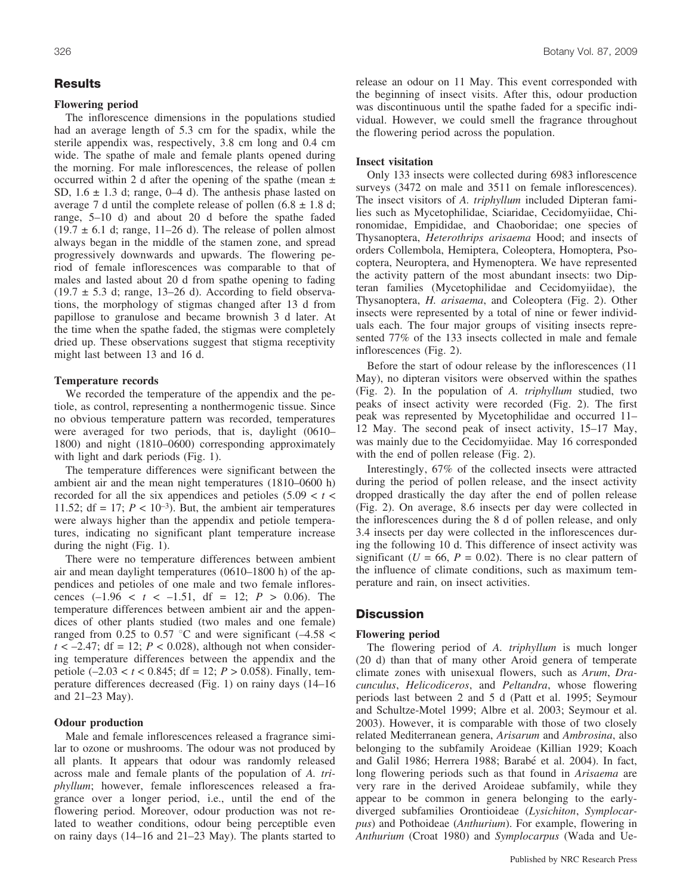## **Results**

## **Flowering period**

The inflorescence dimensions in the populations studied had an average length of 5.3 cm for the spadix, while the sterile appendix was, respectively, 3.8 cm long and 0.4 cm wide. The spathe of male and female plants opened during the morning. For male inflorescences, the release of pollen occurred within 2 d after the opening of the spathe (mean  $\pm$ SD,  $1.6 \pm 1.3$  d; range,  $0-4$  d). The anthesis phase lasted on average 7 d until the complete release of pollen  $(6.8 \pm 1.8 \text{ d})$ ; range, 5–10 d) and about 20 d before the spathe faded  $(19.7 \pm 6.1 \text{ d}; \text{range}, 11-26 \text{ d}).$  The release of pollen almost always began in the middle of the stamen zone, and spread progressively downwards and upwards. The flowering period of female inflorescences was comparable to that of males and lasted about 20 d from spathe opening to fading  $(19.7 \pm 5.3 \text{ d}; \text{range}, 13-26 \text{ d})$ . According to field observations, the morphology of stigmas changed after 13 d from papillose to granulose and became brownish 3 d later. At the time when the spathe faded, the stigmas were completely dried up. These observations suggest that stigma receptivity might last between 13 and 16 d.

#### **Temperature records**

We recorded the temperature of the appendix and the petiole, as control, representing a nonthermogenic tissue. Since no obvious temperature pattern was recorded, temperatures were averaged for two periods, that is, daylight (0610– 1800) and night (1810–0600) corresponding approximately with light and dark periods (Fig. 1).

The temperature differences were significant between the ambient air and the mean night temperatures (1810–0600 h) recorded for all the six appendices and petioles  $(5.09 < t <$ 11.52;  $df = 17$ ;  $P < 10^{-3}$ ). But, the ambient air temperatures were always higher than the appendix and petiole temperatures, indicating no significant plant temperature increase during the night (Fig. 1).

There were no temperature differences between ambient air and mean daylight temperatures (0610–1800 h) of the appendices and petioles of one male and two female inflorescences  $(-1.96 < t < -1.51$ , df = 12;  $P > 0.06$ ). The temperature differences between ambient air and the appendices of other plants studied (two males and one female) ranged from 0.25 to 0.57 °C and were significant  $(-4.58 <$  $t < -2.47$ ; df = 12;  $P < 0.028$ ), although not when considering temperature differences between the appendix and the petiole (–2.03 < *t* < 0.845; df = 12; *P* > 0.058). Finally, temperature differences decreased (Fig. 1) on rainy days (14–16 and 21–23 May).

#### **Odour production**

Male and female inflorescences released a fragrance similar to ozone or mushrooms. The odour was not produced by all plants. It appears that odour was randomly released across male and female plants of the population of *A. triphyllum*; however, female inflorescences released a fragrance over a longer period, i.e., until the end of the flowering period. Moreover, odour production was not related to weather conditions, odour being perceptible even on rainy days (14–16 and 21–23 May). The plants started to release an odour on 11 May. This event corresponded with the beginning of insect visits. After this, odour production was discontinuous until the spathe faded for a specific individual. However, we could smell the fragrance throughout the flowering period across the population.

## **Insect visitation**

Only 133 insects were collected during 6983 inflorescence surveys (3472 on male and 3511 on female inflorescences). The insect visitors of *A. triphyllum* included Dipteran families such as Mycetophilidae, Sciaridae, Cecidomyiidae, Chironomidae, Empididae, and Chaoboridae; one species of Thysanoptera, *Heterothrips arisaema* Hood; and insects of orders Collembola, Hemiptera, Coleoptera, Homoptera, Psocoptera, Neuroptera, and Hymenoptera. We have represented the activity pattern of the most abundant insects: two Dipteran families (Mycetophilidae and Cecidomyiidae), the Thysanoptera, *H. arisaema*, and Coleoptera (Fig. 2). Other insects were represented by a total of nine or fewer individuals each. The four major groups of visiting insects represented 77% of the 133 insects collected in male and female inflorescences (Fig. 2).

Before the start of odour release by the inflorescences (11 May), no dipteran visitors were observed within the spathes (Fig. 2). In the population of *A. triphyllum* studied, two peaks of insect activity were recorded (Fig. 2). The first peak was represented by Mycetophilidae and occurred 11– 12 May. The second peak of insect activity, 15–17 May, was mainly due to the Cecidomyiidae. May 16 corresponded with the end of pollen release (Fig. 2).

Interestingly, 67% of the collected insects were attracted during the period of pollen release, and the insect activity dropped drastically the day after the end of pollen release (Fig. 2). On average, 8.6 insects per day were collected in the inflorescences during the 8 d of pollen release, and only 3.4 insects per day were collected in the inflorescences during the following 10 d. This difference of insect activity was significant ( $U = 66$ ,  $P = 0.02$ ). There is no clear pattern of the influence of climate conditions, such as maximum temperature and rain, on insect activities.

## **Discussion**

#### **Flowering period**

The flowering period of *A. triphyllum* is much longer (20 d) than that of many other Aroid genera of temperate climate zones with unisexual flowers, such as *Arum*, *Dracunculus*, *Helicodiceros*, and *Peltandra*, whose flowering periods last between 2 and 5 d (Patt et al. 1995; Seymour and Schultze-Motel 1999; Albre et al. 2003; Seymour et al. 2003). However, it is comparable with those of two closely related Mediterranean genera, *Arisarum* and *Ambrosina*, also belonging to the subfamily Aroideae (Killian 1929; Koach and Galil 1986; Herrera 1988; Barabé et al. 2004). In fact, long flowering periods such as that found in *Arisaema* are very rare in the derived Aroideae subfamily, while they appear to be common in genera belonging to the earlydiverged subfamilies Orontioideae (*Lysichiton*, *Symplocarpus*) and Pothoideae (*Anthurium*). For example, flowering in *Anthurium* (Croat 1980) and *Symplocarpus* (Wada and Ue-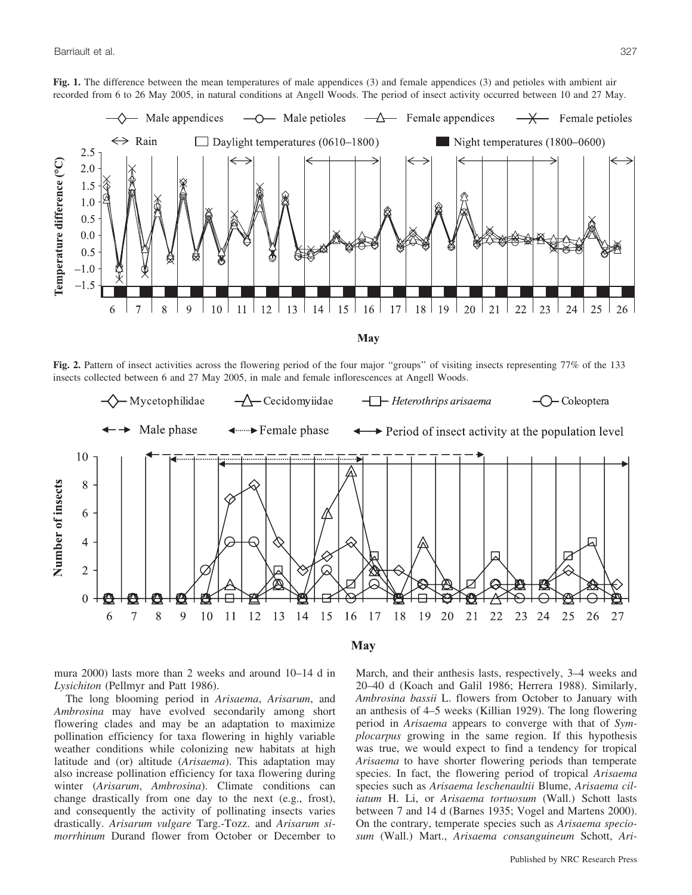

Fig. 2. Pattern of insect activities across the flowering period of the four major "groups" of visiting insects representing 77% of the 133 insects collected between 6 and 27 May 2005, in male and female inflorescences at Angell Woods.



mura 2000) lasts more than 2 weeks and around 10–14 d in *Lysichiton* (Pellmyr and Patt 1986).

The long blooming period in *Arisaema*, *Arisarum*, and *Ambrosina* may have evolved secondarily among short flowering clades and may be an adaptation to maximize pollination efficiency for taxa flowering in highly variable weather conditions while colonizing new habitats at high latitude and (or) altitude (*Arisaema*). This adaptation may also increase pollination efficiency for taxa flowering during winter (*Arisarum*, *Ambrosina*). Climate conditions can change drastically from one day to the next (e.g., frost), and consequently the activity of pollinating insects varies drastically. *Arisarum vulgare* Targ.-Tozz. and *Arisarum simorrhinum* Durand flower from October or December to March, and their anthesis lasts, respectively, 3–4 weeks and 20–40 d (Koach and Galil 1986; Herrera 1988). Similarly, *Ambrosina bassii* L. flowers from October to January with an anthesis of 4–5 weeks (Killian 1929). The long flowering period in *Arisaema* appears to converge with that of *Symplocarpus* growing in the same region. If this hypothesis was true, we would expect to find a tendency for tropical *Arisaema* to have shorter flowering periods than temperate species. In fact, the flowering period of tropical *Arisaema* species such as *Arisaema leschenaultii* Blume, *Arisaema ciliatum* H. Li, or *Arisaema tortuosum* (Wall.) Schott lasts between 7 and 14 d (Barnes 1935; Vogel and Martens 2000). On the contrary, temperate species such as *Arisaema speciosum* (Wall.) Mart., *Arisaema consanguineum* Schott, *Ari-*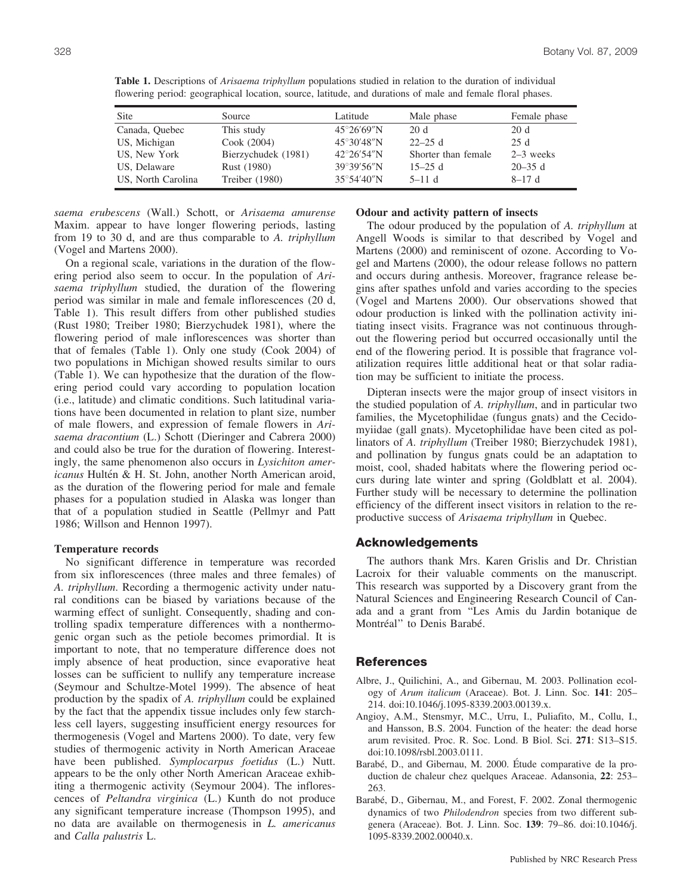| <b>Site</b>        | Source              | Latitude             | Male phase          | Female phase |
|--------------------|---------------------|----------------------|---------------------|--------------|
| Canada, Quebec     | This study          | $45^{\circ}26'69''N$ | 20d                 | 20 d         |
| US, Michigan       | Cook (2004)         | $45^{\circ}30'48''N$ | $22 - 25$ d         | 25 d         |
| US, New York       | Bierzychudek (1981) | $42^{\circ}26'54''N$ | Shorter than female | $2-3$ weeks  |
| US, Delaware       | Rust (1980)         | 39°39′56″N           | $15 - 25$ d         | $20 - 35$ d  |
| US, North Carolina | Treiber (1980)      | $35^{\circ}54'40''N$ | $5-11d$             | $8-17d$      |

**Table 1.** Descriptions of *Arisaema triphyllum* populations studied in relation to the duration of individual flowering period: geographical location, source, latitude, and durations of male and female floral phases.

*saema erubescens* (Wall.) Schott, or *Arisaema amurense* Maxim. appear to have longer flowering periods, lasting from 19 to 30 d, and are thus comparable to *A. triphyllum* (Vogel and Martens 2000).

On a regional scale, variations in the duration of the flowering period also seem to occur. In the population of *Arisaema triphyllum* studied, the duration of the flowering period was similar in male and female inflorescences (20 d, Table 1). This result differs from other published studies (Rust 1980; Treiber 1980; Bierzychudek 1981), where the flowering period of male inflorescences was shorter than that of females (Table 1). Only one study (Cook 2004) of two populations in Michigan showed results similar to ours (Table 1). We can hypothesize that the duration of the flowering period could vary according to population location (i.e., latitude) and climatic conditions. Such latitudinal variations have been documented in relation to plant size, number of male flowers, and expression of female flowers in *Arisaema dracontium* (L.) Schott (Dieringer and Cabrera 2000) and could also be true for the duration of flowering. Interestingly, the same phenomenon also occurs in *Lysichiton americanus* Hultén & H. St. John, another North American aroid, as the duration of the flowering period for male and female phases for a population studied in Alaska was longer than that of a population studied in Seattle (Pellmyr and Patt 1986; Willson and Hennon 1997).

#### **Temperature records**

No significant difference in temperature was recorded from six inflorescences (three males and three females) of *A. triphyllum*. Recording a thermogenic activity under natural conditions can be biased by variations because of the warming effect of sunlight. Consequently, shading and controlling spadix temperature differences with a nonthermogenic organ such as the petiole becomes primordial. It is important to note, that no temperature difference does not imply absence of heat production, since evaporative heat losses can be sufficient to nullify any temperature increase (Seymour and Schultze-Motel 1999). The absence of heat production by the spadix of *A. triphyllum* could be explained by the fact that the appendix tissue includes only few starchless cell layers, suggesting insufficient energy resources for thermogenesis (Vogel and Martens 2000). To date, very few studies of thermogenic activity in North American Araceae have been published. *Symplocarpus foetidus* (L.) Nutt. appears to be the only other North American Araceae exhibiting a thermogenic activity (Seymour 2004). The inflorescences of *Peltandra virginica* (L.) Kunth do not produce any significant temperature increase (Thompson 1995), and no data are available on thermogenesis in *L. americanus* and *Calla palustris* L.

# **Odour and activity pattern of insects**

The odour produced by the population of *A. triphyllum* at Angell Woods is similar to that described by Vogel and Martens (2000) and reminiscent of ozone. According to Vogel and Martens (2000), the odour release follows no pattern and occurs during anthesis. Moreover, fragrance release begins after spathes unfold and varies according to the species (Vogel and Martens 2000). Our observations showed that odour production is linked with the pollination activity initiating insect visits. Fragrance was not continuous throughout the flowering period but occurred occasionally until the end of the flowering period. It is possible that fragrance volatilization requires little additional heat or that solar radiation may be sufficient to initiate the process.

Dipteran insects were the major group of insect visitors in the studied population of *A. triphyllum*, and in particular two families, the Mycetophilidae (fungus gnats) and the Cecidomyiidae (gall gnats). Mycetophilidae have been cited as pollinators of *A. triphyllum* (Treiber 1980; Bierzychudek 1981), and pollination by fungus gnats could be an adaptation to moist, cool, shaded habitats where the flowering period occurs during late winter and spring (Goldblatt et al. 2004). Further study will be necessary to determine the pollination efficiency of the different insect visitors in relation to the reproductive success of *Arisaema triphyllum* in Quebec.

### **Acknowledgements**

The authors thank Mrs. Karen Grislis and Dr. Christian Lacroix for their valuable comments on the manuscript. This research was supported by a Discovery grant from the Natural Sciences and Engineering Research Council of Canada and a grant from ''Les Amis du Jardin botanique de Montréal" to Denis Barabé.

#### **References**

- Albre, J., Quilichini, A., and Gibernau, M. 2003. Pollination ecology of *Arum italicum* (Araceae). Bot. J. Linn. Soc. **141**: 205– 214. doi:10.1046/j.1095-8339.2003.00139.x.
- Angioy, A.M., Stensmyr, M.C., Urru, I., Puliafito, M., Collu, I., and Hansson, B.S. 2004. Function of the heater: the dead horse arum revisited. Proc. R. Soc. Lond. B Biol. Sci. **271**: S13–S15. doi:10.1098/rsbl.2003.0111.
- Barabé, D., and Gibernau, M. 2000. Étude comparative de la production de chaleur chez quelques Araceae. Adansonia, **22**: 253– 263.
- Barabé, D., Gibernau, M., and Forest, F. 2002. Zonal thermogenic dynamics of two *Philodendron* species from two different subgenera (Araceae). Bot. J. Linn. Soc. **139**: 79–86. doi:10.1046/j. 1095-8339.2002.00040.x.